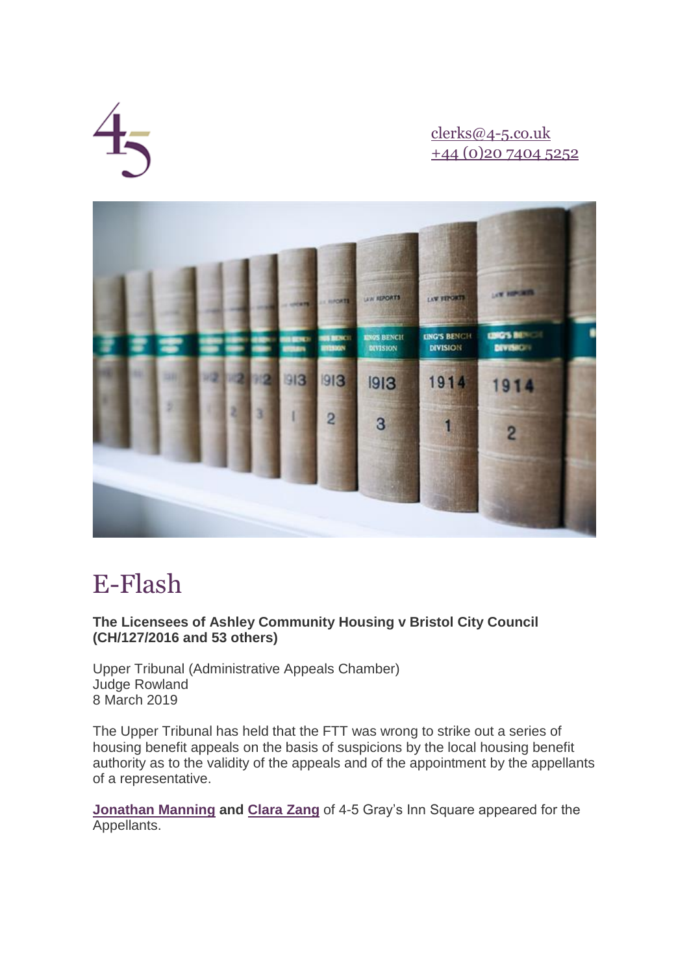

[clerks@4-5.co.uk](mailto:clerks@4-5.co.uk) [+44 \(0\)20 7404 5252](http://lexlinks.4-5.co.uk/marketingServer/incoming.aspx?l=0xBA0BF12EFA433677F0A7F59A4B430D19EE93FD589A499A96&ln=4&d=0xEC3640B4180F8F16%5e0x|0x40F3E49C83A12815%5e0xA6B3DB2EB134C4AC|0xF1B146662D144B75%5e0xFDAA5FAEE57668B8|0x7C0176C586DD3A52%5e0xD39C44612FFDF055|0xA14B30AADF25AF0D%5e0x17922B9099DE2B55F699159D61C256AC130305DE1220FE9DBB62DE014685CE12CAB503EB53DE95AAA61F36178B5132D2|0x4AA4940AA96EF179%5e0x0FAB3F256AD45B38|0xA548B87FA4C989317DE335C01C7EE1CE%5e0xF9716FE4C24014AC43AA1A8AA6BA21EA|0x1F76935CAA54AE0A%5e0x4F959F79F98B2DE2B576963AE70C36DE2AAFF4DB8D669386|0x7789D30FD723DAF4%5e0x0B71539CBA768797|0xEA5DE7CEE9203CB2%5e0x42938C379008F3AF|0x49EB4C9596DBE1A5%5e0xBDC0B87423493533|0xD52134AC788FF0FE%5e0x88113D71134A6D15|&c=201&s=203)



# E-Flash

## **The Licensees of Ashley Community Housing v Bristol City Council (CH/127/2016 and 53 others)**

Upper Tribunal (Administrative Appeals Chamber) Judge Rowland 8 March 2019

The Upper Tribunal has held that the FTT was wrong to strike out a series of housing benefit appeals on the basis of suspicions by the local housing benefit authority as to the validity of the appeals and of the appointment by the appellants of a representative.

**[Jonathan Manning](http://lexlinks.4-5.co.uk/marketingServer/incoming.aspx?l=0x30F91944B60079A27BE62EC7B7B50514F0AEA3BB33C01E82B63B32D8F8CD031F2C729C099E286DFF1218D2BFEAE70981A2A5560AB5FEF89EC6D9C9C71D534F50&ln=5&d=0xEC3640B4180F8F16%5e0x|0x40F3E49C83A12815%5e0xA6B3DB2EB134C4AC|0xF1B146662D144B75%5e0xFDAA5FAEE57668B8|0x7C0176C586DD3A52%5e0xD39C44612FFDF055|0xA14B30AADF25AF0D%5e0x17922B9099DE2B55F699159D61C256AC130305DE1220FE9DBB62DE014685CE12CAB503EB53DE95AAA61F36178B5132D2|0x4AA4940AA96EF179%5e0x0FAB3F256AD45B38|0xA548B87FA4C989317DE335C01C7EE1CE%5e0xF9716FE4C24014AC43AA1A8AA6BA21EA|0x1F76935CAA54AE0A%5e0x4F959F79F98B2DE2B576963AE70C36DE2AAFF4DB8D669386|0x7789D30FD723DAF4%5e0x0B71539CBA768797|0xEA5DE7CEE9203CB2%5e0x42938C379008F3AF|0x49EB4C9596DBE1A5%5e0xBDC0B87423493533|0xD52134AC788FF0FE%5e0x88113D71134A6D15|&c=201&s=203) and [Clara Zang](http://lexlinks.4-5.co.uk/marketingServer/incoming.aspx?l=0x30F91944B60079A27BE62EC7B7B50514F0AEA3BB33C01E82B63B32D8F8CD031F2C729C099E286DFF83CD1D40D03695C64B17C465C9915108&ln=6&d=0xEC3640B4180F8F16%5e0x|0x40F3E49C83A12815%5e0xA6B3DB2EB134C4AC|0xF1B146662D144B75%5e0xFDAA5FAEE57668B8|0x7C0176C586DD3A52%5e0xD39C44612FFDF055|0xA14B30AADF25AF0D%5e0x17922B9099DE2B55F699159D61C256AC130305DE1220FE9DBB62DE014685CE12CAB503EB53DE95AAA61F36178B5132D2|0x4AA4940AA96EF179%5e0x0FAB3F256AD45B38|0xA548B87FA4C989317DE335C01C7EE1CE%5e0xF9716FE4C24014AC43AA1A8AA6BA21EA|0x1F76935CAA54AE0A%5e0x4F959F79F98B2DE2B576963AE70C36DE2AAFF4DB8D669386|0x7789D30FD723DAF4%5e0x0B71539CBA768797|0xEA5DE7CEE9203CB2%5e0x42938C379008F3AF|0x49EB4C9596DBE1A5%5e0xBDC0B87423493533|0xD52134AC788FF0FE%5e0x88113D71134A6D15|&c=201&s=203)** of 4-5 Gray's Inn Square appeared for the Appellants.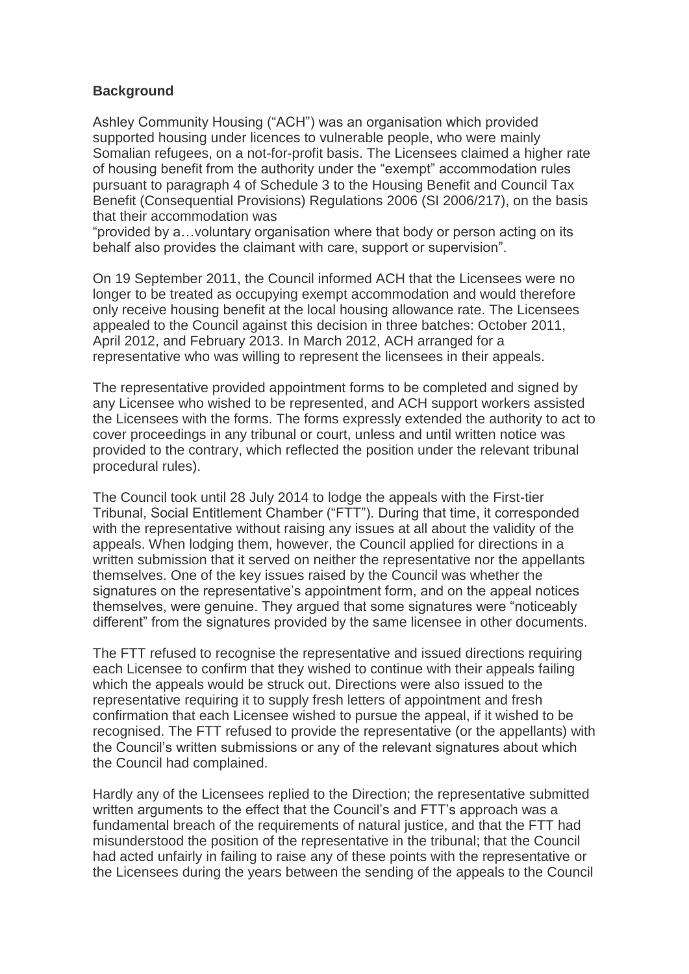#### **Background**

Ashley Community Housing ("ACH") was an organisation which provided supported housing under licences to vulnerable people, who were mainly Somalian refugees, on a not-for-profit basis. The Licensees claimed a higher rate of housing benefit from the authority under the "exempt" accommodation rules pursuant to paragraph 4 of Schedule 3 to the Housing Benefit and Council Tax Benefit (Consequential Provisions) Regulations 2006 (SI 2006/217), on the basis that their accommodation was

"provided by a…voluntary organisation where that body or person acting on its behalf also provides the claimant with care, support or supervision".

On 19 September 2011, the Council informed ACH that the Licensees were no longer to be treated as occupying exempt accommodation and would therefore only receive housing benefit at the local housing allowance rate. The Licensees appealed to the Council against this decision in three batches: October 2011, April 2012, and February 2013. In March 2012, ACH arranged for a representative who was willing to represent the licensees in their appeals.

The representative provided appointment forms to be completed and signed by any Licensee who wished to be represented, and ACH support workers assisted the Licensees with the forms. The forms expressly extended the authority to act to cover proceedings in any tribunal or court, unless and until written notice was provided to the contrary, which reflected the position under the relevant tribunal procedural rules).

The Council took until 28 July 2014 to lodge the appeals with the First-tier Tribunal, Social Entitlement Chamber ("FTT"). During that time, it corresponded with the representative without raising any issues at all about the validity of the appeals. When lodging them, however, the Council applied for directions in a written submission that it served on neither the representative nor the appellants themselves. One of the key issues raised by the Council was whether the signatures on the representative's appointment form, and on the appeal notices themselves, were genuine. They argued that some signatures were "noticeably different" from the signatures provided by the same licensee in other documents.

The FTT refused to recognise the representative and issued directions requiring each Licensee to confirm that they wished to continue with their appeals failing which the appeals would be struck out. Directions were also issued to the representative requiring it to supply fresh letters of appointment and fresh confirmation that each Licensee wished to pursue the appeal, if it wished to be recognised. The FTT refused to provide the representative (or the appellants) with the Council's written submissions or any of the relevant signatures about which the Council had complained.

Hardly any of the Licensees replied to the Direction; the representative submitted written arguments to the effect that the Council's and FTT's approach was a fundamental breach of the requirements of natural justice, and that the FTT had misunderstood the position of the representative in the tribunal; that the Council had acted unfairly in failing to raise any of these points with the representative or the Licensees during the years between the sending of the appeals to the Council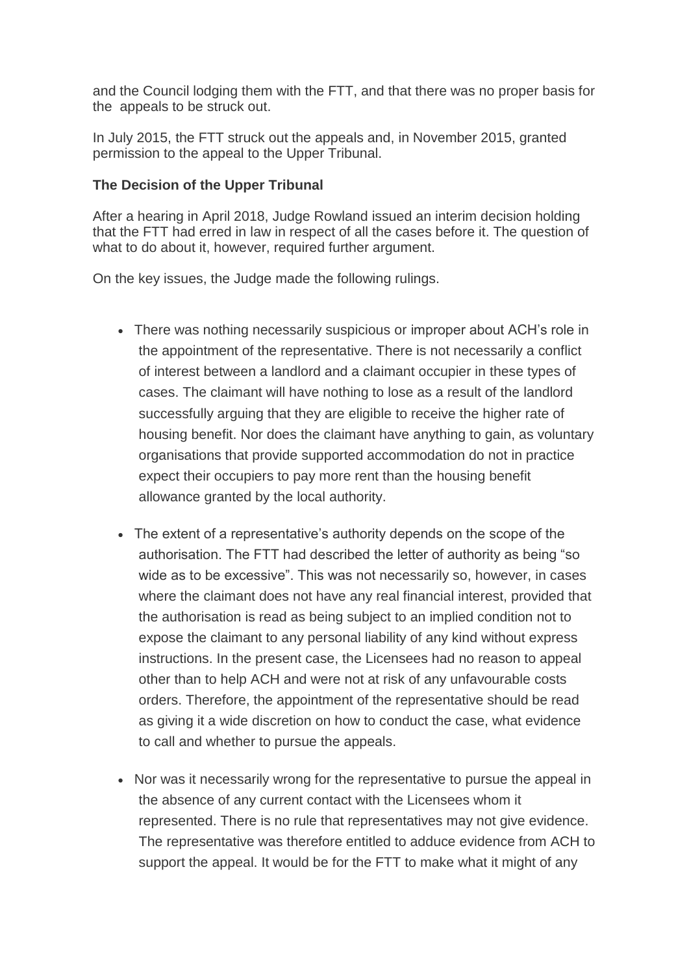and the Council lodging them with the FTT, and that there was no proper basis for the appeals to be struck out.

In July 2015, the FTT struck out the appeals and, in November 2015, granted permission to the appeal to the Upper Tribunal.

### **The Decision of the Upper Tribunal**

After a hearing in April 2018, Judge Rowland issued an interim decision holding that the FTT had erred in law in respect of all the cases before it. The question of what to do about it, however, required further argument.

On the key issues, the Judge made the following rulings.

- There was nothing necessarily suspicious or improper about ACH's role in the appointment of the representative. There is not necessarily a conflict of interest between a landlord and a claimant occupier in these types of cases. The claimant will have nothing to lose as a result of the landlord successfully arguing that they are eligible to receive the higher rate of housing benefit. Nor does the claimant have anything to gain, as voluntary organisations that provide supported accommodation do not in practice expect their occupiers to pay more rent than the housing benefit allowance granted by the local authority.
- The extent of a representative's authority depends on the scope of the authorisation. The FTT had described the letter of authority as being "so wide as to be excessive". This was not necessarily so, however, in cases where the claimant does not have any real financial interest, provided that the authorisation is read as being subject to an implied condition not to expose the claimant to any personal liability of any kind without express instructions. In the present case, the Licensees had no reason to appeal other than to help ACH and were not at risk of any unfavourable costs orders. Therefore, the appointment of the representative should be read as giving it a wide discretion on how to conduct the case, what evidence to call and whether to pursue the appeals.
- Nor was it necessarily wrong for the representative to pursue the appeal in the absence of any current contact with the Licensees whom it represented. There is no rule that representatives may not give evidence. The representative was therefore entitled to adduce evidence from ACH to support the appeal. It would be for the FTT to make what it might of any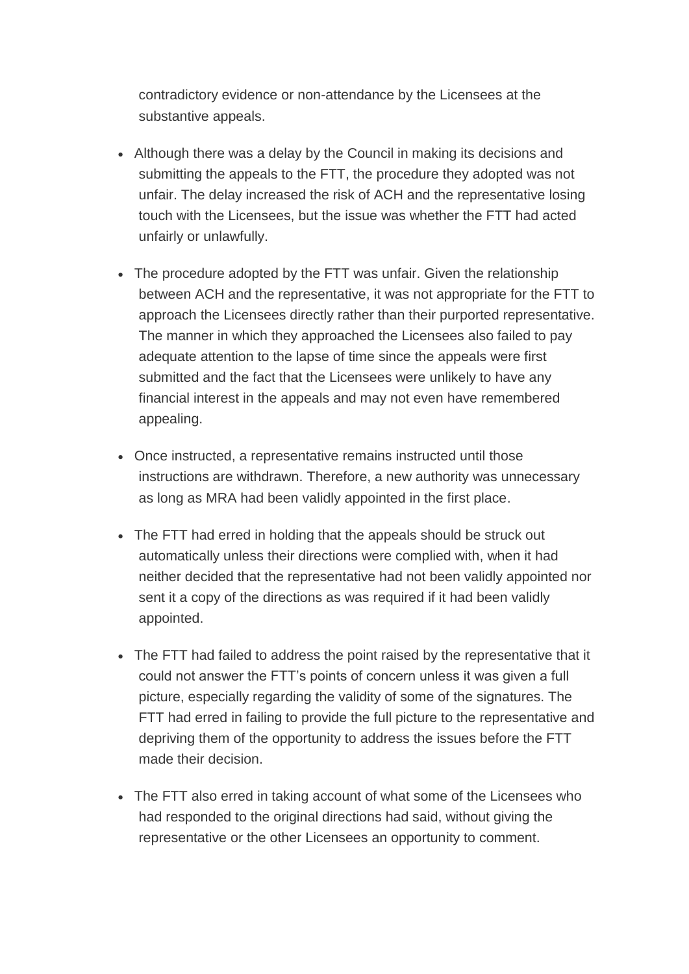contradictory evidence or non-attendance by the Licensees at the substantive appeals.

- Although there was a delay by the Council in making its decisions and submitting the appeals to the FTT, the procedure they adopted was not unfair. The delay increased the risk of ACH and the representative losing touch with the Licensees, but the issue was whether the FTT had acted unfairly or unlawfully.
- The procedure adopted by the FTT was unfair. Given the relationship between ACH and the representative, it was not appropriate for the FTT to approach the Licensees directly rather than their purported representative. The manner in which they approached the Licensees also failed to pay adequate attention to the lapse of time since the appeals were first submitted and the fact that the Licensees were unlikely to have any financial interest in the appeals and may not even have remembered appealing.
- Once instructed, a representative remains instructed until those instructions are withdrawn. Therefore, a new authority was unnecessary as long as MRA had been validly appointed in the first place.
- The FTT had erred in holding that the appeals should be struck out automatically unless their directions were complied with, when it had neither decided that the representative had not been validly appointed nor sent it a copy of the directions as was required if it had been validly appointed.
- The FTT had failed to address the point raised by the representative that it could not answer the FTT's points of concern unless it was given a full picture, especially regarding the validity of some of the signatures. The FTT had erred in failing to provide the full picture to the representative and depriving them of the opportunity to address the issues before the FTT made their decision.
- The FTT also erred in taking account of what some of the Licensees who had responded to the original directions had said, without giving the representative or the other Licensees an opportunity to comment.